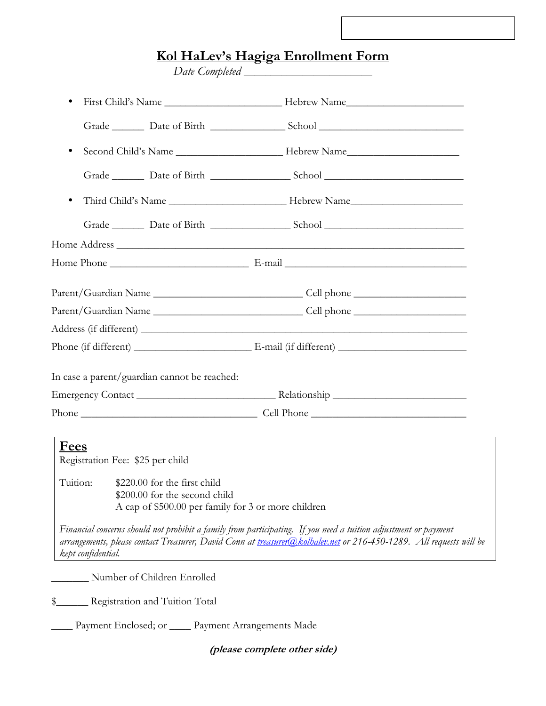## **Kol HaLev's Hagiga Enrollment Form**

*Date Completed \_\_\_\_\_\_\_\_\_\_\_\_\_\_\_\_\_\_\_\_\_\_\_\_* 

| $\bullet$                                                                                                                     |                                                                                                                                                                                                                                       |
|-------------------------------------------------------------------------------------------------------------------------------|---------------------------------------------------------------------------------------------------------------------------------------------------------------------------------------------------------------------------------------|
|                                                                                                                               | Grade Date of Birth School Charles School                                                                                                                                                                                             |
| $\bullet$                                                                                                                     |                                                                                                                                                                                                                                       |
|                                                                                                                               |                                                                                                                                                                                                                                       |
| $\bullet$                                                                                                                     |                                                                                                                                                                                                                                       |
|                                                                                                                               |                                                                                                                                                                                                                                       |
|                                                                                                                               |                                                                                                                                                                                                                                       |
|                                                                                                                               |                                                                                                                                                                                                                                       |
|                                                                                                                               |                                                                                                                                                                                                                                       |
|                                                                                                                               |                                                                                                                                                                                                                                       |
|                                                                                                                               |                                                                                                                                                                                                                                       |
|                                                                                                                               |                                                                                                                                                                                                                                       |
| In case a parent/guardian cannot be reached:                                                                                  |                                                                                                                                                                                                                                       |
|                                                                                                                               |                                                                                                                                                                                                                                       |
|                                                                                                                               |                                                                                                                                                                                                                                       |
| <b>Fees</b><br>Registration Fee: \$25 per child<br>Tuition:<br>\$220.00 for the first child<br>$$200.00$ for the second child | ,我们也不会有什么。""我们的人,我们也不会有什么?""我们的人,我们也不会有什么?""我们的人,我们也不会有什么?""我们的人,我们也不会有什么?""我们的人<br>A cap of \$500.00 per family for 3 or more children                                                                                               |
| kept confidential.                                                                                                            | Financial concerns should not prohibit a family from participating. If you need a tuition adjustment or payment<br>arrangements, please contact Treasurer, David Conn at treasurer@kolhalev.net or 216-450-1289. All requests will be |
| Number of Children Enrolled                                                                                                   |                                                                                                                                                                                                                                       |
| \$<br>Registration and Tuition Total                                                                                          |                                                                                                                                                                                                                                       |
| Payment Enclosed; or _                                                                                                        | Payment Arrangements Made                                                                                                                                                                                                             |

**(please complete other side)**